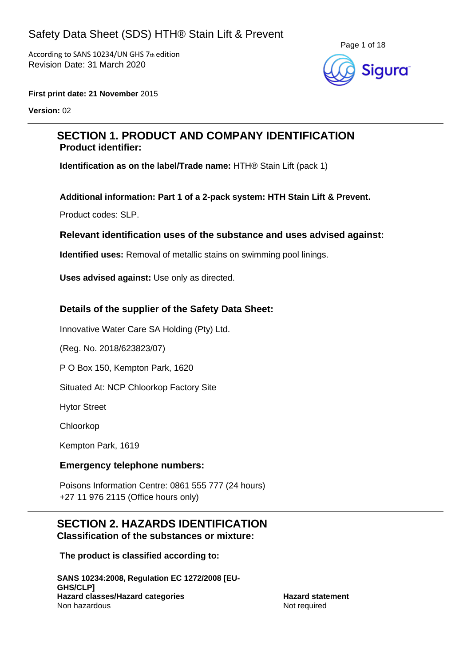According to SANS 10234/UN GHS 7th edition Revision Date: 31 March 2020



**First print date: 21 November** 2015

**Version:** 02

## **SECTION 1. PRODUCT AND COMPANY IDENTIFICATION Product identifier:**

**Identification as on the label/Trade name:** HTH® Stain Lift (pack 1)

**Additional information: Part 1 of a 2-pack system: HTH Stain Lift & Prevent.**

Product codes: SLP.

## **Relevant identification uses of the substance and uses advised against:**

**Identified uses:** Removal of metallic stains on swimming pool linings.

**Uses advised against:** Use only as directed.

## **Details of the supplier of the Safety Data Sheet:**

Innovative Water Care SA Holding (Pty) Ltd.

(Reg. No. 2018/623823/07)

P O Box 150, Kempton Park, 1620

Situated At: NCP Chloorkop Factory Site

Hytor Street

Chloorkop

Kempton Park, 1619

## **Emergency telephone numbers:**

Poisons Information Centre: 0861 555 777 (24 hours) +27 11 976 2115 (Office hours only)

## **SECTION 2. HAZARDS IDENTIFICATION Classification of the substances or mixture:**

**The product is classified according to:**

**SANS 10234:2008, Regulation EC 1272/2008 [EU-GHS/CLP] Hazard classes/Hazard categories Hazard statement** Non hazardous and the set of the set of the set of the set of the set of the set of the set of the set of the set of the set of the set of the set of the set of the set of the set of the set of the set of the set of the se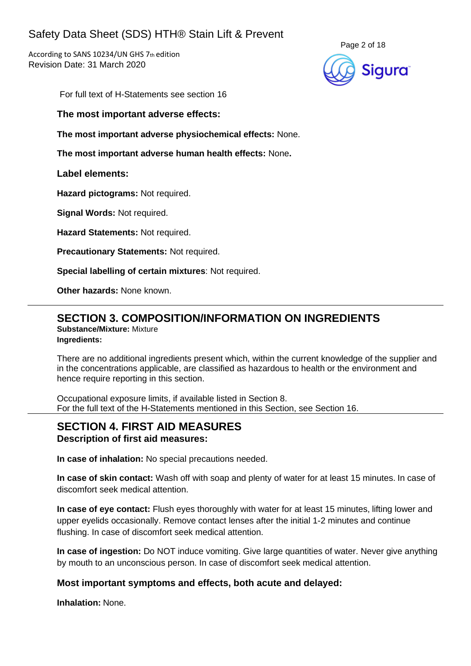According to SANS 10234/UN GHS 7th edition Revision Date: 31 March 2020



For full text of H-Statements see section 16

**The most important adverse effects:**

**The most important adverse physiochemical effects:** None.

**The most important adverse human health effects:** None**.**

## **Label elements:**

**Hazard pictograms:** Not required.

**Signal Words:** Not required.

**Hazard Statements:** Not required.

**Precautionary Statements:** Not required.

**Special labelling of certain mixtures**: Not required.

**Other hazards:** None known.

## **SECTION 3. COMPOSITION/INFORMATION ON INGREDIENTS**

**Substance/Mixture:** Mixture **Ingredients:**

There are no additional ingredients present which, within the current knowledge of the supplier and in the concentrations applicable, are classified as hazardous to health or the environment and hence require reporting in this section.

Occupational exposure limits, if available listed in Section 8. For the full text of the H-Statements mentioned in this Section, see Section 16.

# **SECTION 4. FIRST AID MEASURES**

## **Description of first aid measures:**

**In case of inhalation:** No special precautions needed.

**In case of skin contact:** Wash off with soap and plenty of water for at least 15 minutes. In case of discomfort seek medical attention.

**In case of eye contact:** Flush eyes thoroughly with water for at least 15 minutes, lifting lower and upper eyelids occasionally. Remove contact lenses after the initial 1-2 minutes and continue flushing. In case of discomfort seek medical attention.

**In case of ingestion:** Do NOT induce vomiting. Give large quantities of water. Never give anything by mouth to an unconscious person. In case of discomfort seek medical attention.

## **Most important symptoms and effects, both acute and delayed:**

**Inhalation:** None.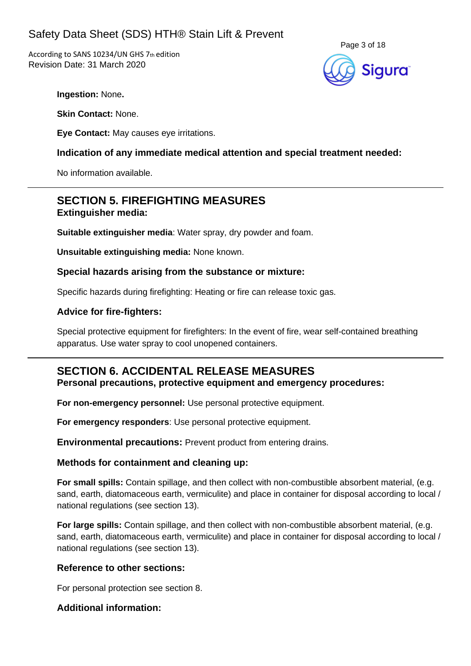According to SANS 10234/UN GHS 7th edition Revision Date: 31 March 2020



**Ingestion:** None**.**

**Skin Contact:** None.

**Eye Contact:** May causes eye irritations.

## **Indication of any immediate medical attention and special treatment needed:**

No information available.

## **SECTION 5. FIREFIGHTING MEASURES Extinguisher media:**

**Suitable extinguisher media**: Water spray, dry powder and foam.

**Unsuitable extinguishing media:** None known.

## **Special hazards arising from the substance or mixture:**

Specific hazards during firefighting: Heating or fire can release toxic gas.

## **Advice for fire-fighters:**

Special protective equipment for firefighters: In the event of fire, wear self-contained breathing apparatus. Use water spray to cool unopened containers.

# **SECTION 6. ACCIDENTAL RELEASE MEASURES**

**Personal precautions, protective equipment and emergency procedures:**

**For non-emergency personnel:** Use personal protective equipment.

**For emergency responders**: Use personal protective equipment.

**Environmental precautions:** Prevent product from entering drains.

## **Methods for containment and cleaning up:**

**For small spills:** Contain spillage, and then collect with non-combustible absorbent material, (e.g. sand, earth, diatomaceous earth, vermiculite) and place in container for disposal according to local / national regulations (see section 13).

**For large spills:** Contain spillage, and then collect with non-combustible absorbent material, (e.g. sand, earth, diatomaceous earth, vermiculite) and place in container for disposal according to local / national regulations (see section 13).

## **Reference to other sections:**

For personal protection see section 8.

## **Additional information:**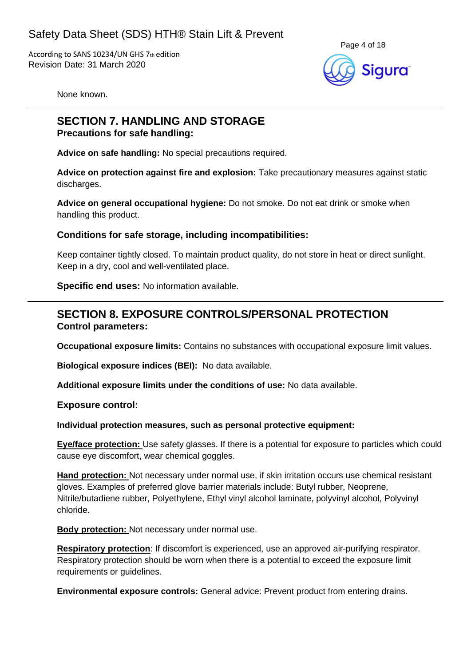

None known.

# **SECTION 7. HANDLING AND STORAGE**

**Precautions for safe handling:**

**Advice on safe handling:** No special precautions required.

**Advice on protection against fire and explosion:** Take precautionary measures against static discharges.

**Advice on general occupational hygiene:** Do not smoke. Do not eat drink or smoke when handling this product.

## **Conditions for safe storage, including incompatibilities:**

Keep container tightly closed. To maintain product quality, do not store in heat or direct sunlight. Keep in a dry, cool and well-ventilated place.

**Specific end uses:** No information available.

## **SECTION 8. EXPOSURE CONTROLS/PERSONAL PROTECTION Control parameters:**

**Occupational exposure limits:** Contains no substances with occupational exposure limit values.

**Biological exposure indices (BEI):** No data available.

**Additional exposure limits under the conditions of use:** No data available.

**Exposure control:**

#### **Individual protection measures, such as personal protective equipment:**

**Eye/face protection:** Use safety glasses. If there is a potential for exposure to particles which could cause eye discomfort, wear chemical goggles.

**Hand protection:** Not necessary under normal use, if skin irritation occurs use chemical resistant gloves. Examples of preferred glove barrier materials include: Butyl rubber, Neoprene, Nitrile/butadiene rubber, Polyethylene, Ethyl vinyl alcohol laminate, polyvinyl alcohol, Polyvinyl chloride.

**Body protection:** Not necessary under normal use.

**Respiratory protection**: If discomfort is experienced, use an approved air-purifying respirator. Respiratory protection should be worn when there is a potential to exceed the exposure limit requirements or guidelines.

**Environmental exposure controls:** General advice: Prevent product from entering drains.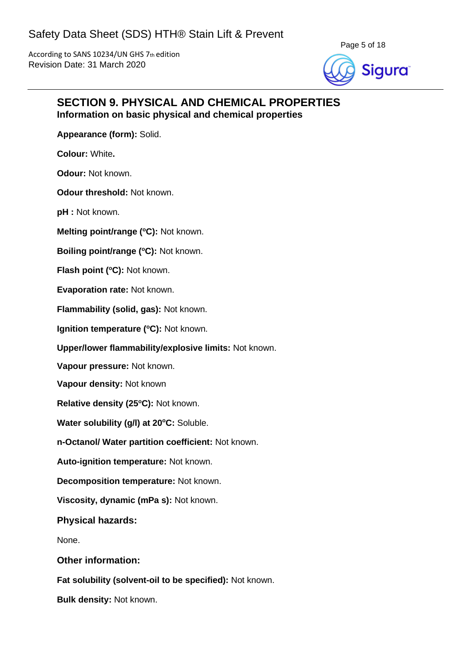

## **SECTION 9. PHYSICAL AND CHEMICAL PROPERTIES Information on basic physical and chemical properties**

**Appearance (form):** Solid.

**Colour:** White**.**

**Odour:** Not known.

**Odour threshold:** Not known.

**pH :** Not known.

**Melting point/range (<sup>o</sup>C):** Not known.

**Boiling point/range (°C):** Not known.

**Flash point (°C): Not known.** 

**Evaporation rate:** Not known.

**Flammability (solid, gas):** Not known.

**Ignition temperature (°C):** Not known.

**Upper/lower flammability/explosive limits:** Not known.

**Vapour pressure:** Not known.

**Vapour density:** Not known

**Relative density (25 <sup>o</sup>C):** Not known.

**Water solubility (g/l) at 20<sup>o</sup>C:** Soluble.

**n-Octanol/ Water partition coefficient:** Not known.

**Auto-ignition temperature:** Not known.

**Decomposition temperature:** Not known.

**Viscosity, dynamic (mPa s):** Not known.

**Physical hazards:**

None.

**Other information:**

**Fat solubility (solvent-oil to be specified):** Not known.

**Bulk density:** Not known.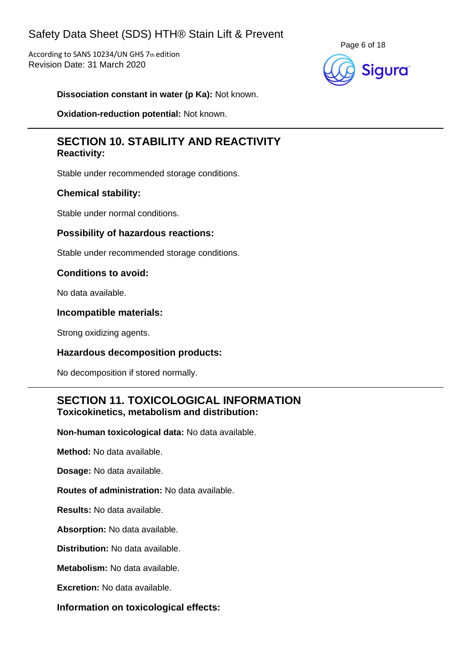According to SANS 10234/UN GHS 7th edition Revision Date: 31 March 2020



**Dissociation constant in water (p Ka):** Not known.

**Oxidation-reduction potential:** Not known.

## **SECTION 10. STABILITY AND REACTIVITY Reactivity:**

Stable under recommended storage conditions.

## **Chemical stability:**

Stable under normal conditions.

## **Possibility of hazardous reactions:**

Stable under recommended storage conditions.

## **Conditions to avoid:**

No data available.

## **Incompatible materials:**

Strong oxidizing agents.

## **Hazardous decomposition products:**

No decomposition if stored normally.

## **SECTION 11. TOXICOLOGICAL INFORMATION Toxicokinetics, metabolism and distribution:**

**Non-human toxicological data:** No data available.

**Method:** No data available.

**Dosage:** No data available.

**Routes of administration:** No data available.

**Results:** No data available.

**Absorption:** No data available.

**Distribution:** No data available.

**Metabolism:** No data available.

**Excretion:** No data available.

**Information on toxicological effects:**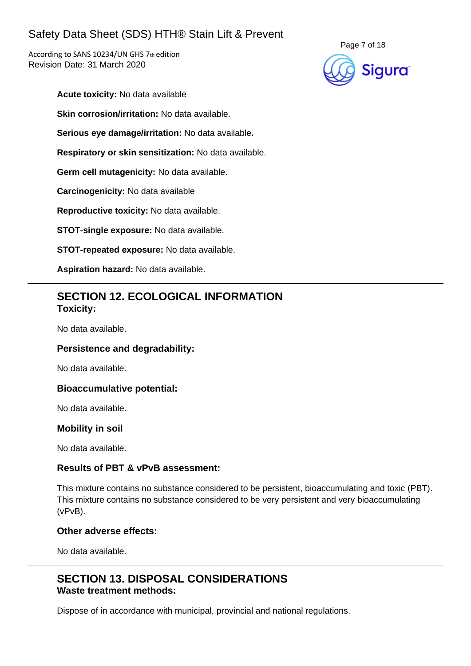According to SANS 10234/UN GHS 7th edition Revision Date: 31 March 2020



- **Acute toxicity:** No data available
- **Skin corrosion/irritation:** No data available.
- **Serious eye damage/irritation:** No data available**.**
- **Respiratory or skin sensitization:** No data available.
- **Germ cell mutagenicity:** No data available.
- **Carcinogenicity:** No data available
- **Reproductive toxicity:** No data available.
- **STOT-single exposure:** No data available.
- **STOT-repeated exposure:** No data available.
- **Aspiration hazard:** No data available.

## **SECTION 12. ECOLOGICAL INFORMATION Toxicity:**

No data available.

## **Persistence and degradability:**

No data available.

#### **Bioaccumulative potential:**

No data available.

#### **Mobility in soil**

No data available.

### **Results of PBT & vPvB assessment:**

This mixture contains no substance considered to be persistent, bioaccumulating and toxic (PBT). This mixture contains no substance considered to be very persistent and very bioaccumulating (vPvB).

#### **Other adverse effects:**

No data available.

## **SECTION 13. DISPOSAL CONSIDERATIONS Waste treatment methods:**

Dispose of in accordance with municipal, provincial and national regulations.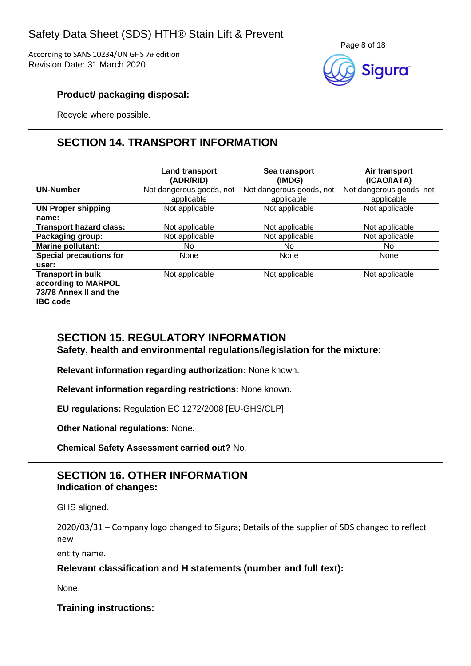According to SANS 10234/UN GHS 7th edition Revision Date: 31 March 2020



## **Product/ packaging disposal:**

Recycle where possible.

# **SECTION 14. TRANSPORT INFORMATION**

|                                                                                              | Land transport<br>(ADR/RID)            | Sea transport<br>(IMDG)                | Air transport<br>(ICAO/IATA)           |
|----------------------------------------------------------------------------------------------|----------------------------------------|----------------------------------------|----------------------------------------|
| <b>UN-Number</b>                                                                             | Not dangerous goods, not<br>applicable | Not dangerous goods, not<br>applicable | Not dangerous goods, not<br>applicable |
| <b>UN Proper shipping</b><br>name:                                                           | Not applicable                         | Not applicable                         | Not applicable                         |
| <b>Transport hazard class:</b>                                                               | Not applicable                         | Not applicable                         | Not applicable                         |
| Packaging group:                                                                             | Not applicable                         | Not applicable                         | Not applicable                         |
| <b>Marine pollutant:</b>                                                                     | No.                                    | No.                                    | No.                                    |
| <b>Special precautions for</b><br>user:                                                      | None                                   | None                                   | None                                   |
| <b>Transport in bulk</b><br>according to MARPOL<br>73/78 Annex II and the<br><b>IBC</b> code | Not applicable                         | Not applicable                         | Not applicable                         |

## **SECTION 15. REGULATORY INFORMATION**

**Safety, health and environmental regulations/legislation for the mixture:**

**Relevant information regarding authorization:** None known.

**Relevant information regarding restrictions:** None known.

**EU regulations:** Regulation EC 1272/2008 [EU-GHS/CLP]

**Other National regulations:** None.

**Chemical Safety Assessment carried out?** No.

## **SECTION 16. OTHER INFORMATION Indication of changes:**

GHS aligned.

2020/03/31 – Company logo changed to Sigura; Details of the supplier of SDS changed to reflect new

entity name.

## **Relevant classification and H statements (number and full text):**

None.

**Training instructions:**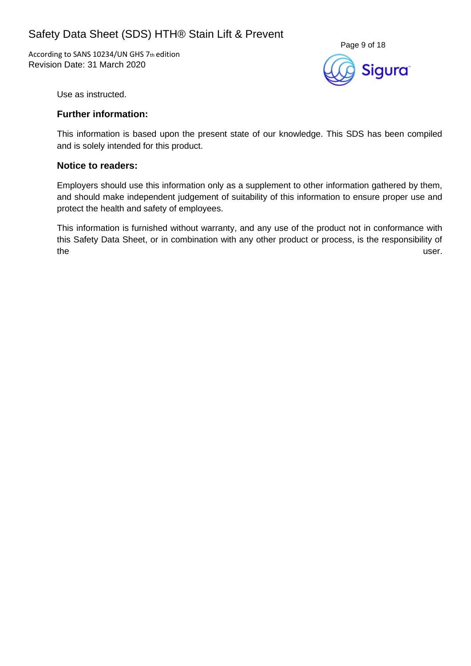According to SANS 10234/UN GHS 7th edition Revision Date: 31 March 2020



Use as instructed.

### **Further information:**

This information is based upon the present state of our knowledge. This SDS has been compiled and is solely intended for this product.

### **Notice to readers:**

Employers should use this information only as a supplement to other information gathered by them, and should make independent judgement of suitability of this information to ensure proper use and protect the health and safety of employees.

This information is furnished without warranty, and any use of the product not in conformance with this Safety Data Sheet, or in combination with any other product or process, is the responsibility of the user.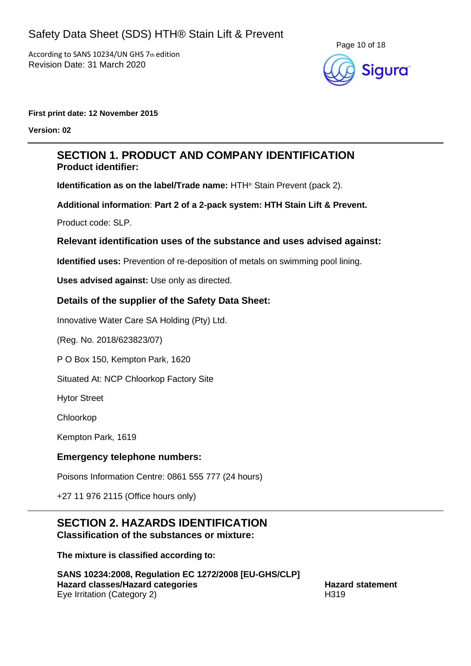

#### **First print date: 12 November 2015**

**Version: 02**

## **SECTION 1. PRODUCT AND COMPANY IDENTIFICATION Product identifier:**

**Identification as on the label/Trade name:** HTH® Stain Prevent (pack 2).

**Additional information**: **Part 2 of a 2-pack system: HTH Stain Lift & Prevent.**

Product code: SLP.

## **Relevant identification uses of the substance and uses advised against:**

**Identified uses:** Prevention of re-deposition of metals on swimming pool lining.

**Uses advised against:** Use only as directed.

## **Details of the supplier of the Safety Data Sheet:**

Innovative Water Care SA Holding (Pty) Ltd.

(Reg. No. 2018/623823/07)

P O Box 150, Kempton Park, 1620

Situated At: NCP Chloorkop Factory Site

Hytor Street

Chloorkop

Kempton Park, 1619

## **Emergency telephone numbers:**

Poisons Information Centre: 0861 555 777 (24 hours)

+27 11 976 2115 (Office hours only)

#### **SECTION 2. HAZARDS IDENTIFICATION Classification of the substances or mixture:**

**The mixture is classified according to:**

**SANS 10234:2008, Regulation EC 1272/2008 [EU-GHS/CLP] Hazard classes/Hazard categories Hazard statement** Eye Irritation (Category 2) H319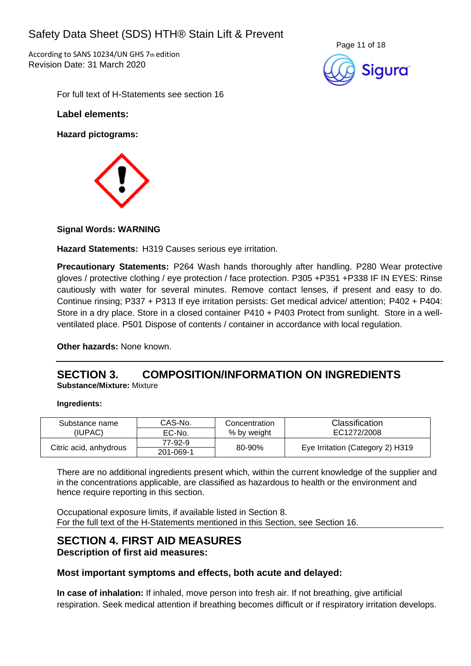According to SANS 10234/UN GHS 7th edition Revision Date: 31 March 2020



For full text of H-Statements see section 16

#### **Label elements:**

**Hazard pictograms:**



## **Signal Words: WARNING**

**Hazard Statements:** H319 Causes serious eye irritation.

**Precautionary Statements:** P264 Wash hands thoroughly after handling. P280 Wear protective gloves / protective clothing / eye protection / face protection. P305 +P351 +P338 IF IN EYES: Rinse cautiously with water for several minutes. Remove contact lenses, if present and easy to do. Continue rinsing; P337 + P313 If eye irritation persists: Get medical advice/ attention; P402 + P404: Store in a dry place. Store in a closed container P410 + P403 Protect from sunlight. Store in a wellventilated place. P501 Dispose of contents / container in accordance with local regulation.

**Other hazards:** None known.

## **SECTION 3. COMPOSITION/INFORMATION ON INGREDIENTS Substance/Mixture:** Mixture

#### **Ingredients:**

| Substance name         | CAS-No.<br>Concentration |             | Classification                   |  |
|------------------------|--------------------------|-------------|----------------------------------|--|
| (IUPAC).               | EC-No.                   | % by weight | EC1272/2008                      |  |
|                        | 77-92-9                  | 80-90%      | Eye Irritation (Category 2) H319 |  |
| Citric acid, anhydrous | 201-069-1                |             |                                  |  |

There are no additional ingredients present which, within the current knowledge of the supplier and in the concentrations applicable, are classified as hazardous to health or the environment and hence require reporting in this section.

Occupational exposure limits, if available listed in Section 8. For the full text of the H-Statements mentioned in this Section, see Section 16.

## **SECTION 4. FIRST AID MEASURES Description of first aid measures:**

## **Most important symptoms and effects, both acute and delayed:**

**In case of inhalation:** If inhaled, move person into fresh air. If not breathing, give artificial respiration. Seek medical attention if breathing becomes difficult or if respiratory irritation develops.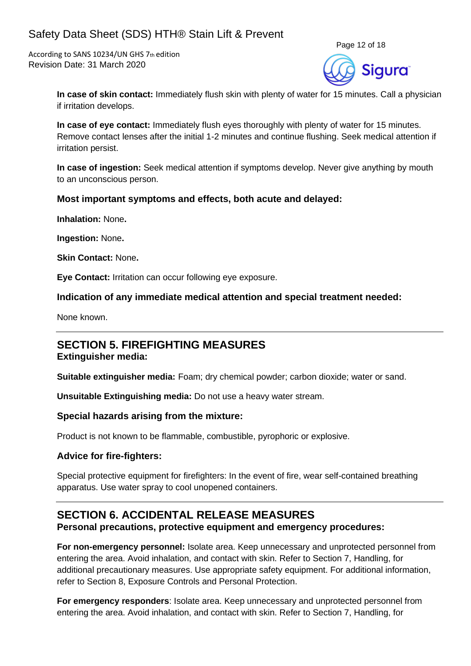According to SANS 10234/UN GHS 7th edition Revision Date: 31 March 2020



**In case of skin contact:** Immediately flush skin with plenty of water for 15 minutes. Call a physician if irritation develops.

**In case of eye contact:** Immediately flush eyes thoroughly with plenty of water for 15 minutes. Remove contact lenses after the initial 1-2 minutes and continue flushing. Seek medical attention if irritation persist.

**In case of ingestion:** Seek medical attention if symptoms develop. Never give anything by mouth to an unconscious person.

## **Most important symptoms and effects, both acute and delayed:**

**Inhalation:** None**.**

**Ingestion:** None**.**

**Skin Contact:** None**.**

**Eye Contact:** Irritation can occur following eye exposure.

#### **Indication of any immediate medical attention and special treatment needed:**

None known.

# **SECTION 5. FIREFIGHTING MEASURES**

## **Extinguisher media:**

**Suitable extinguisher media:** Foam; dry chemical powder; carbon dioxide; water or sand.

**Unsuitable Extinguishing media:** Do not use a heavy water stream.

#### **Special hazards arising from the mixture:**

Product is not known to be flammable, combustible, pyrophoric or explosive.

## **Advice for fire-fighters:**

Special protective equipment for firefighters: In the event of fire, wear self-contained breathing apparatus. Use water spray to cool unopened containers.

## **SECTION 6. ACCIDENTAL RELEASE MEASURES Personal precautions, protective equipment and emergency procedures:**

**For non-emergency personnel:** Isolate area. Keep unnecessary and unprotected personnel from entering the area. Avoid inhalation, and contact with skin. Refer to Section 7, Handling, for additional precautionary measures. Use appropriate safety equipment. For additional information, refer to Section 8, Exposure Controls and Personal Protection.

**For emergency responders**: Isolate area. Keep unnecessary and unprotected personnel from entering the area. Avoid inhalation, and contact with skin. Refer to Section 7, Handling, for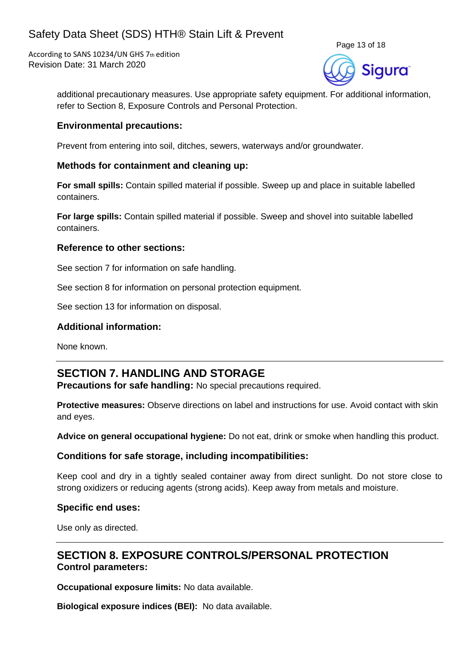According to SANS 10234/UN GHS 7th edition Revision Date: 31 March 2020



additional precautionary measures. Use appropriate safety equipment. For additional information, refer to Section 8, Exposure Controls and Personal Protection.

### **Environmental precautions:**

Prevent from entering into soil, ditches, sewers, waterways and/or groundwater.

## **Methods for containment and cleaning up:**

**For small spills:** Contain spilled material if possible. Sweep up and place in suitable labelled containers.

**For large spills:** Contain spilled material if possible. Sweep and shovel into suitable labelled containers.

#### **Reference to other sections:**

See section 7 for information on safe handling.

See section 8 for information on personal protection equipment.

See section 13 for information on disposal.

## **Additional information:**

None known.

## **SECTION 7. HANDLING AND STORAGE**

**Precautions for safe handling:** No special precautions required.

**Protective measures:** Observe directions on label and instructions for use. Avoid contact with skin and eyes.

**Advice on general occupational hygiene:** Do not eat, drink or smoke when handling this product.

## **Conditions for safe storage, including incompatibilities:**

Keep cool and dry in a tightly sealed container away from direct sunlight. Do not store close to strong oxidizers or reducing agents (strong acids). Keep away from metals and moisture.

#### **Specific end uses:**

Use only as directed.

## **SECTION 8. EXPOSURE CONTROLS/PERSONAL PROTECTION Control parameters:**

**Occupational exposure limits:** No data available.

**Biological exposure indices (BEI):** No data available.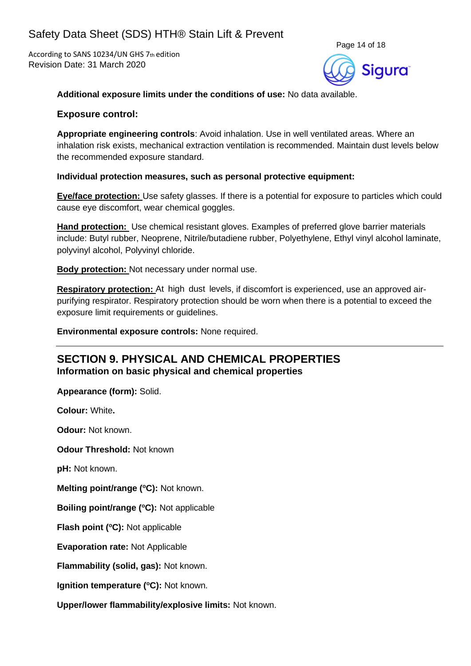According to SANS 10234/UN GHS 7th edition Revision Date: 31 March 2020



**Additional exposure limits under the conditions of use:** No data available.

#### **Exposure control:**

**Appropriate engineering controls**: Avoid inhalation. Use in well ventilated areas. Where an inhalation risk exists, mechanical extraction ventilation is recommended. Maintain dust levels below the recommended exposure standard.

#### **Individual protection measures, such as personal protective equipment:**

**Eye/face protection:** Use safety glasses. If there is a potential for exposure to particles which could cause eye discomfort, wear chemical goggles.

**Hand protection:** Use chemical resistant gloves. Examples of preferred glove barrier materials include: Butyl rubber, Neoprene, Nitrile/butadiene rubber, Polyethylene, Ethyl vinyl alcohol laminate, polyvinyl alcohol, Polyvinyl chloride.

**Body protection:** Not necessary under normal use.

**Respiratory protection:** At high dust levels, if discomfort is experienced, use an approved airpurifying respirator. Respiratory protection should be worn when there is a potential to exceed the exposure limit requirements or guidelines.

**Environmental exposure controls:** None required.

## **SECTION 9. PHYSICAL AND CHEMICAL PROPERTIES Information on basic physical and chemical properties**

**Appearance (form):** Solid.

**Colour:** White**.**

**Odour:** Not known.

**Odour Threshold:** Not known

**pH:** Not known.

**Melting point/range (<sup>o</sup>C):** Not known.

**Boiling point/range (<sup>o</sup>C):** Not applicable

**Flash point (<sup>o</sup>C):** Not applicable

**Evaporation rate:** Not Applicable

**Flammability (solid, gas):** Not known.

**Ignition temperature (°C):** Not known.

**Upper/lower flammability/explosive limits:** Not known.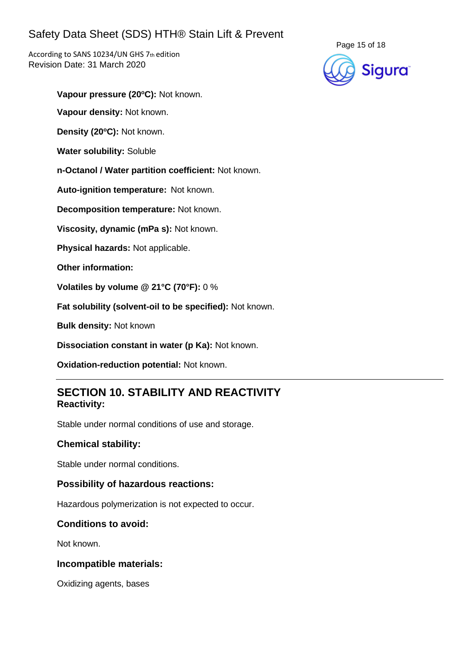According to SANS 10234/UN GHS 7th edition Revision Date: 31 March 2020



**Vapour pressure (20<sup>o</sup>C):** Not known.

**Vapour density:** Not known.

**Density (20 <sup>o</sup>C):** Not known.

**Water solubility:** Soluble

**n-Octanol / Water partition coefficient:** Not known.

**Auto-ignition temperature:** Not known.

**Decomposition temperature:** Not known.

**Viscosity, dynamic (mPa s):** Not known.

**Physical hazards:** Not applicable.

**Other information:**

**Volatiles by volume @ 21°C (70°F):** 0 %

**Fat solubility (solvent-oil to be specified):** Not known.

**Bulk density:** Not known

**Dissociation constant in water (p Ka):** Not known.

**Oxidation-reduction potential:** Not known.

## **SECTION 10. STABILITY AND REACTIVITY Reactivity:**

Stable under normal conditions of use and storage.

## **Chemical stability:**

Stable under normal conditions.

## **Possibility of hazardous reactions:**

Hazardous polymerization is not expected to occur.

## **Conditions to avoid:**

Not known.

## **Incompatible materials:**

Oxidizing agents, bases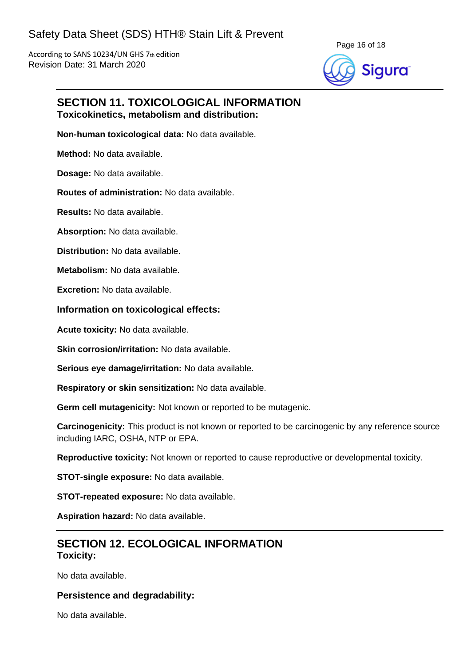

## **SECTION 11. TOXICOLOGICAL INFORMATION Toxicokinetics, metabolism and distribution:**

**Non-human toxicological data:** No data available.

**Method:** No data available.

**Dosage:** No data available.

**Routes of administration:** No data available.

**Results:** No data available.

**Absorption:** No data available.

**Distribution:** No data available.

**Metabolism:** No data available.

**Excretion:** No data available.

#### **Information on toxicological effects:**

**Acute toxicity:** No data available.

**Skin corrosion/irritation:** No data available.

**Serious eye damage/irritation:** No data available.

**Respiratory or skin sensitization:** No data available.

**Germ cell mutagenicity:** Not known or reported to be mutagenic.

**Carcinogenicity:** This product is not known or reported to be carcinogenic by any reference source including IARC, OSHA, NTP or EPA.

**Reproductive toxicity:** Not known or reported to cause reproductive or developmental toxicity.

**STOT-single exposure:** No data available.

**STOT-repeated exposure:** No data available.

**Aspiration hazard:** No data available.

## **SECTION 12. ECOLOGICAL INFORMATION Toxicity:**

No data available.

#### **Persistence and degradability:**

No data available.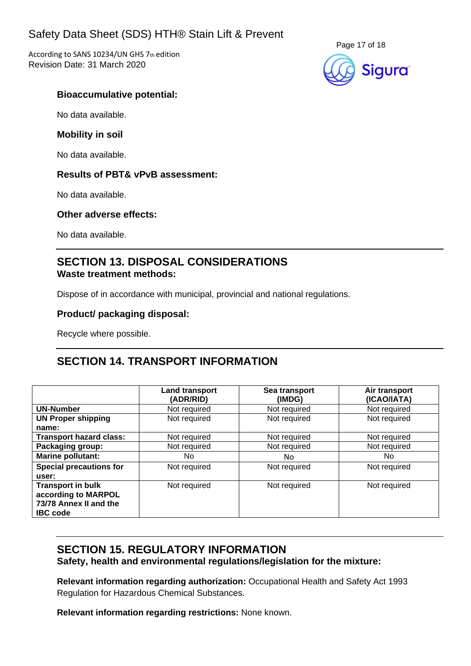According to SANS 10234/UN GHS 7th edition Revision Date: 31 March 2020



## **Bioaccumulative potential:**

No data available.

#### **Mobility in soil**

No data available.

## **Results of PBT& vPvB assessment:**

No data available.

#### **Other adverse effects:**

No data available.

## **SECTION 13. DISPOSAL CONSIDERATIONS Waste treatment methods:**

Dispose of in accordance with municipal, provincial and national regulations.

## **Product/ packaging disposal:**

Recycle where possible.

## **SECTION 14. TRANSPORT INFORMATION**

|                                                                                              | <b>Land transport</b><br>(ADR/RID) | Sea transport<br>(IMDG) | Air transport<br>(ICAO/IATA) |
|----------------------------------------------------------------------------------------------|------------------------------------|-------------------------|------------------------------|
| <b>UN-Number</b>                                                                             | Not required                       | Not required            | Not required                 |
| <b>UN Proper shipping</b>                                                                    | Not required                       | Not required            | Not required                 |
| name:                                                                                        |                                    |                         |                              |
| <b>Transport hazard class:</b>                                                               | Not required                       | Not required            | Not required                 |
| Packaging group:                                                                             | Not required                       | Not required            | Not required                 |
| <b>Marine pollutant:</b>                                                                     | No.                                | No.                     | No.                          |
| <b>Special precautions for</b><br>user:                                                      | Not required                       | Not required            | Not required                 |
| <b>Transport in bulk</b><br>according to MARPOL<br>73/78 Annex II and the<br><b>IBC</b> code | Not required                       | Not required            | Not required                 |

## **SECTION 15. REGULATORY INFORMATION Safety, health and environmental regulations/legislation for the mixture:**

**Relevant information regarding authorization:** Occupational Health and Safety Act 1993 Regulation for Hazardous Chemical Substances.

**Relevant information regarding restrictions:** None known.